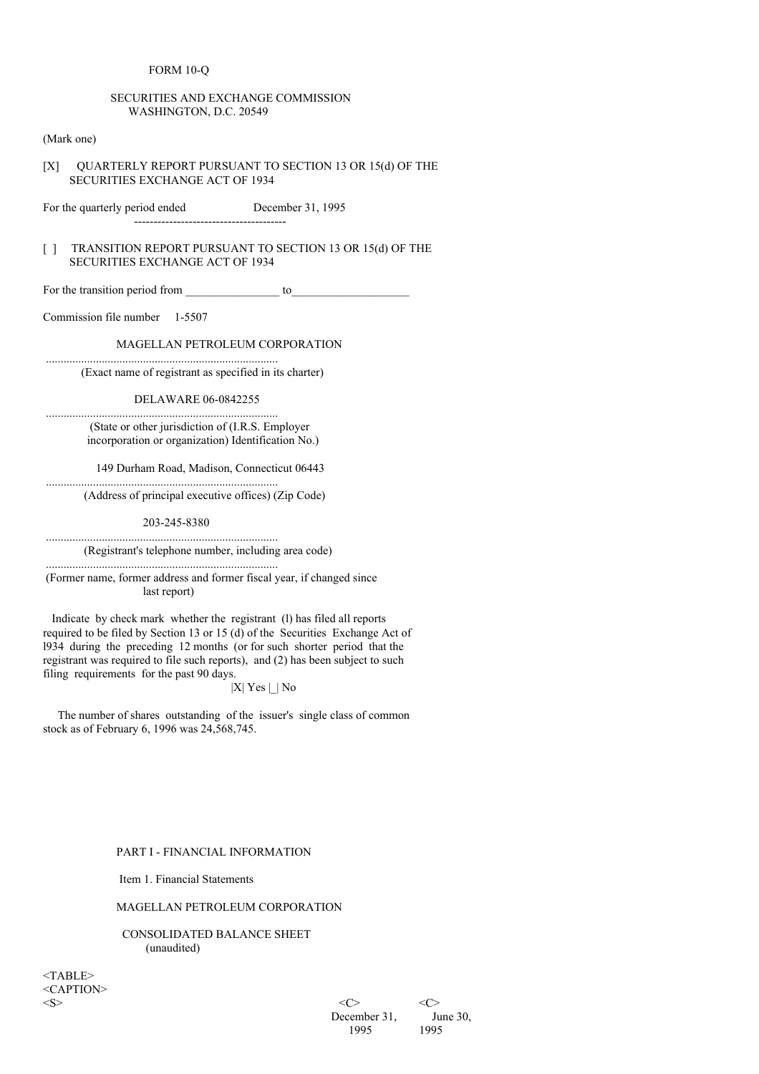### FORM 10-Q

## SECURITIES AND EXCHANGE COMMISSION WASHINGTON, D.C. 20549

(Mark one)

## [X] QUARTERLY REPORT PURSUANT TO SECTION 13 OR 15(d) OF THE SECURITIES EXCHANGE ACT OF 1934

For the quarterly period ended December 31, 1995

---------------------------------------

## [ ] TRANSITION REPORT PURSUANT TO SECTION 13 OR 15(d) OF THE SECURITIES EXCHANGE ACT OF 1934

For the transition period from \_\_\_\_\_\_\_\_\_\_\_\_\_\_\_\_ to\_\_\_\_\_\_\_\_\_\_\_\_\_\_\_\_\_\_\_\_

Commission file number 1-5507

## MAGELLAN PETROLEUM CORPORATION

(Exact name of registrant as specified in its charter)

...............................................................................

...............................................................................

...............................................................................

DELAWARE 06-0842255

(State or other jurisdiction of (I.R.S. Employer incorporation or organization) Identification No.)

149 Durham Road, Madison, Connecticut 06443

(Address of principal executive offices) (Zip Code)

203-245-8380

............................................................................... (Registrant's telephone number, including area code)

............................................................................... (Former name, former address and former fiscal year, if changed since last report)

Indicate by check mark whether the registrant (l) has filed all reports required to be filed by Section 13 or 15 (d) of the Securities Exchange Act of l934 during the preceding 12 months (or for such shorter period that the registrant was required to file such reports), and (2) has been subject to such filing requirements for the past 90 days.

 $|X|$  Yes  $|$  | No

The number of shares outstanding of the issuer's single class of common stock as of February 6, 1996 was 24,568,745.

#### PART I - FINANCIAL INFORMATION

Item 1. Financial Statements

## MAGELLAN PETROLEUM CORPORATION

CONSOLIDATED BALANCE SHEET (unaudited)

 $<$ TABLE $>$ <CAPTION>

 $\langle S \rangle$   $\langle C \rangle$   $\langle C \rangle$ December 31, June 30, 1995 1995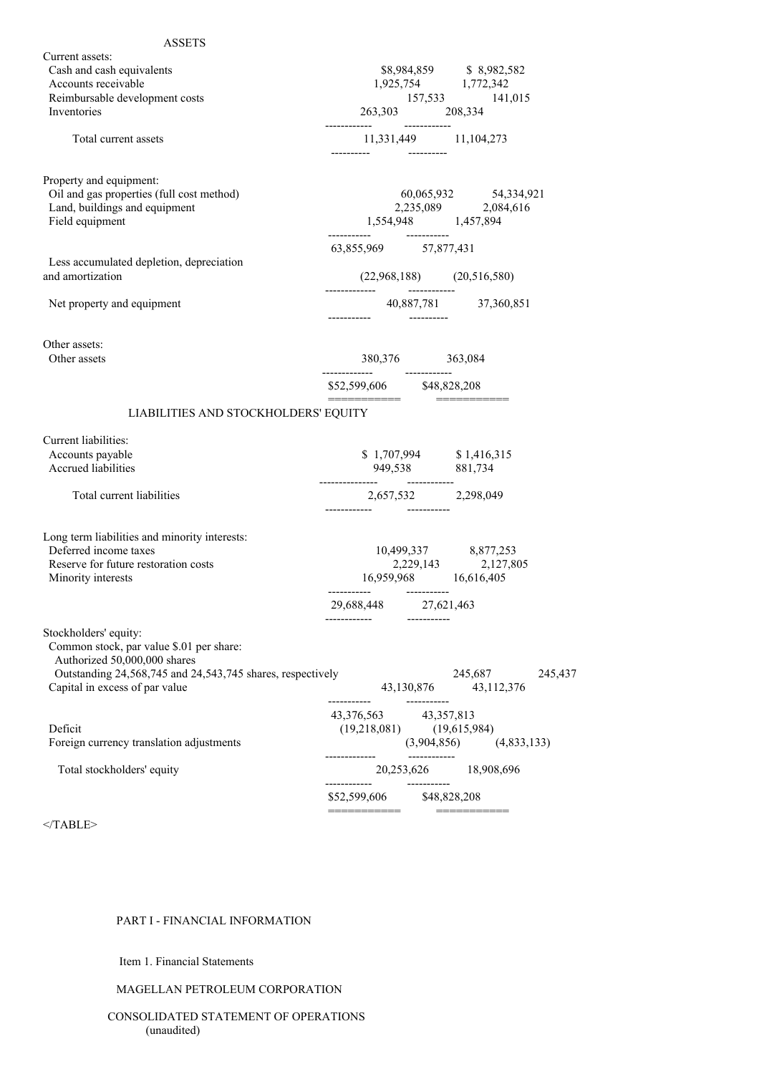| <b>ASSETS</b>                                                                                                                                                                                     |                                                                       |              |                                                                                                                                                 |  |
|---------------------------------------------------------------------------------------------------------------------------------------------------------------------------------------------------|-----------------------------------------------------------------------|--------------|-------------------------------------------------------------------------------------------------------------------------------------------------|--|
| Current assets:<br>Cash and cash equivalents<br>Accounts receivable<br>Reimbursable development costs<br><b>Inventories</b>                                                                       | 263,303 208,334                                                       |              | $\begin{array}{lll} \$8,984,859 & \hbox{\hskip 12pt}\$8,982,582 \\ 1,925,754 & \hbox{\hskip 12pt 1,772,342} \end{array}$<br>$157,533$ $141,015$ |  |
| Total current assets                                                                                                                                                                              |                                                                       |              | 11,331,449 11,104,273                                                                                                                           |  |
| Property and equipment:<br>Oil and gas properties (full cost method)<br>Land, buildings and equipment<br>Field equipment                                                                          |                                                                       |              | $\begin{array}{ccc} 60,065,932 & 54,334,921 \\ 2,235,089 & 2,084,616 \\ 1,554,948 & 1,457,894 \end{array}$                                      |  |
| Less accumulated depletion, depreciation<br>and amortization                                                                                                                                      | 63,855,969 57,877,431                                                 |              | $(22,968,188)$ $(20,516,580)$                                                                                                                   |  |
| Net property and equipment                                                                                                                                                                        |                                                                       |              | $40,887,781$ $37,360,851$                                                                                                                       |  |
| Other assets:<br>Other assets                                                                                                                                                                     | 380,376 363,084<br>-------------                                      | ------------ |                                                                                                                                                 |  |
| LIABILITIES AND STOCKHOLDERS' EQUITY                                                                                                                                                              | \$52,599,606 \$48,828,208<br>===========                              |              |                                                                                                                                                 |  |
|                                                                                                                                                                                                   |                                                                       |              |                                                                                                                                                 |  |
| Current liabilities:<br>Accounts payable<br>Accrued liabilities                                                                                                                                   |                                                                       |              | $$1,707,994$<br>949,538 $881,734$                                                                                                               |  |
| Total current liabilities                                                                                                                                                                         |                                                                       |              | 2,657,532 2,298,049                                                                                                                             |  |
| Long term liabilities and minority interests:<br>Deferred income taxes<br>Reserve for future restoration costs<br>Minority interests                                                              | 16,959,968 16,616,405<br>29,688,448 27,621,463                        |              | $10,499,337 \qquad \qquad 8,877,2532,229,143 \qquad \qquad 2,127,805$                                                                           |  |
| Stockholders' equity:<br>Common stock, par value \$.01 per share:<br>Authorized 50,000,000 shares<br>Outstanding 24,568,745 and 24,543,745 shares, respectively<br>Capital in excess of par value |                                                                       | 43,130,876   | 245,687<br>245,437<br>43,112,376                                                                                                                |  |
| Deficit<br>Foreign currency translation adjustments                                                                                                                                               | -----------<br>43,376,563 43,357,813<br>$(19,218,081)$ $(19,615,984)$ | ____________ | $(3,904,856)$ $(4,833,133)$                                                                                                                     |  |
| Total stockholders' equity                                                                                                                                                                        |                                                                       |              | 20,253,626 18,908,696                                                                                                                           |  |
|                                                                                                                                                                                                   | \$52,599,606 \$48,828,208                                             |              |                                                                                                                                                 |  |
|                                                                                                                                                                                                   | ___________                                                           |              | -----------                                                                                                                                     |  |

</TABLE>

# PART I - FINANCIAL INFORMATION

Item 1. Financial Statements

# MAGELLAN PETROLEUM CORPORATION

CONSOLIDATED STATEMENT OF OPERATIONS (unaudited)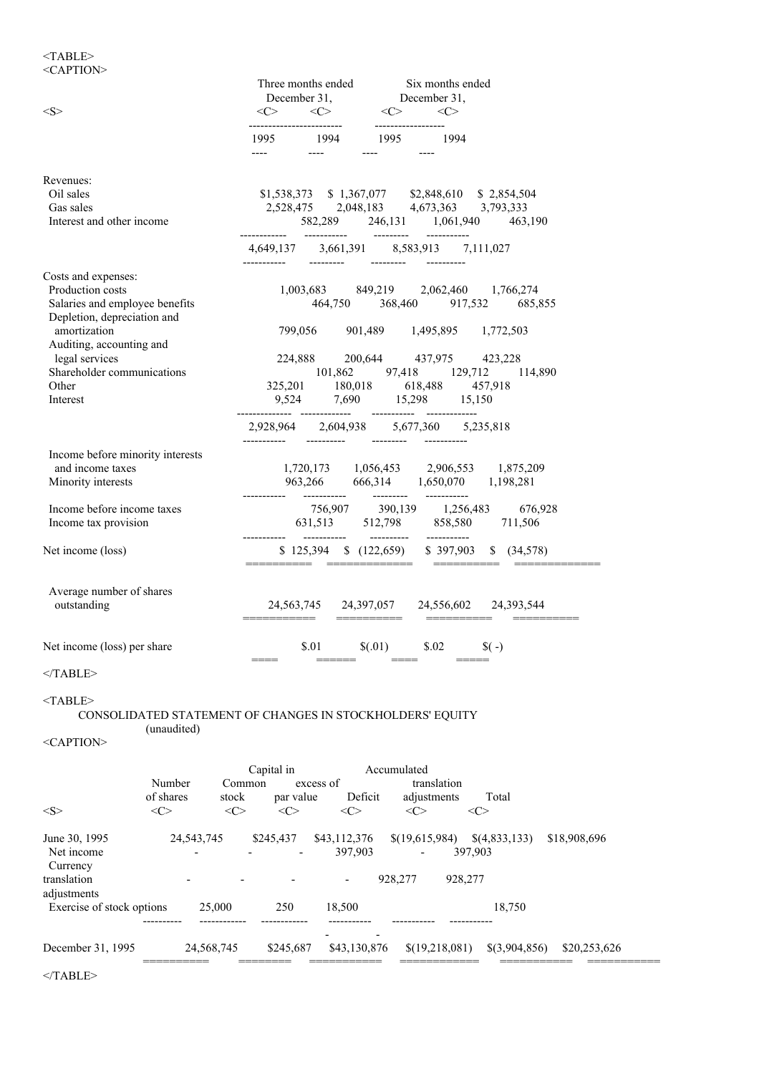## $<$  TABLE>  $\,$ <CAPTION>

|                                              |                                                           |                            | Three months ended Six months ended                                                                                                      |                                        |                               |
|----------------------------------------------|-----------------------------------------------------------|----------------------------|------------------------------------------------------------------------------------------------------------------------------------------|----------------------------------------|-------------------------------|
| $<\!\!S\!\!>$                                |                                                           |                            | December 31,<br>$\langle C \rangle$ $\langle C \rangle$ December 31,                                                                     |                                        |                               |
|                                              |                                                           | ------------------------   | -------------------                                                                                                                      |                                        |                               |
|                                              |                                                           |                            |                                                                                                                                          |                                        |                               |
| Revenues:                                    |                                                           |                            |                                                                                                                                          |                                        |                               |
| Oil sales                                    |                                                           |                            | $\begin{array}{cccc} \$1,538,373 & \$1,367,077 & \$2,848,610 & \$2,854,504 \\ 2,528,475 & 2,048,183 & 4,673,363 & 3,793,333 \end{array}$ |                                        |                               |
| Gas sales<br>Interest and other income       |                                                           |                            | 582,289 246,131 1,061,940 463,190                                                                                                        |                                        |                               |
|                                              |                                                           |                            |                                                                                                                                          |                                        |                               |
|                                              |                                                           |                            | 4,649,137 3,661,391 8,583,913 7,111,027                                                                                                  |                                        |                               |
| Costs and expenses:<br>Production costs      |                                                           |                            | 1,003,683 849,219 2,062,460 1,766,274                                                                                                    |                                        |                               |
| Salaries and employee benefits               |                                                           |                            | 464,750 368,460 917,532 685,855                                                                                                          |                                        |                               |
| Depletion, depreciation and                  |                                                           |                            |                                                                                                                                          |                                        |                               |
| amortization                                 |                                                           |                            | 799,056 901,489 1,495,895 1,772,503                                                                                                      |                                        |                               |
| Auditing, accounting and                     |                                                           |                            |                                                                                                                                          |                                        |                               |
| legal services<br>Shareholder communications |                                                           |                            | 224,888 200,644 437,975 423,228<br>101,862 97,418 129,712 114,890                                                                        |                                        |                               |
| Other                                        |                                                           |                            |                                                                                                                                          |                                        |                               |
| Interest                                     |                                                           |                            |                                                                                                                                          |                                        |                               |
|                                              |                                                           |                            | 2,928,964 2,604,938 5,677,360 5,235,818                                                                                                  |                                        |                               |
| Income before minority interests             |                                                           |                            |                                                                                                                                          |                                        |                               |
| and income taxes                             |                                                           |                            | 1,720,173 1,056,453 2,906,553 1,875,209                                                                                                  |                                        |                               |
| Minority interests                           |                                                           |                            | 963,266 666,314 1,650,070 1,198,281                                                                                                      |                                        |                               |
| Income before income taxes                   |                                                           |                            | $\begin{array}{cccc} 756,907 & 390,139 & 1,256,483 & 676,928 \\ 631,513 & 512,798 & 858,580 & 711,506 \end{array}$                       |                                        |                               |
| Income tax provision                         |                                                           |                            |                                                                                                                                          |                                        |                               |
| Net income (loss)                            |                                                           |                            | \$125,394 \$ (122,659) \$397,903 \$ (34,578)                                                                                             |                                        |                               |
| Average number of shares<br>outstanding      |                                                           |                            | 24,563,745 24,397,057 24,556,602 24,393,544                                                                                              |                                        |                               |
|                                              |                                                           |                            |                                                                                                                                          |                                        |                               |
| Net income (loss) per share                  |                                                           | \$.01                      | \$(.01)                                                                                                                                  | \$.02<br>$\sqrt{\ }$ (-)               |                               |
| $<$ TABLE>                                   |                                                           |                            |                                                                                                                                          |                                        |                               |
| $<$ TABLE>                                   |                                                           |                            |                                                                                                                                          |                                        |                               |
|                                              | CONSOLIDATED STATEMENT OF CHANGES IN STOCKHOLDERS' EQUITY |                            |                                                                                                                                          |                                        |                               |
| (unaudited)<br><caption></caption>           |                                                           |                            |                                                                                                                                          |                                        |                               |
|                                              | Capital in                                                |                            | Accumulated                                                                                                                              |                                        |                               |
| Number                                       | Common                                                    | excess of                  |                                                                                                                                          | translation                            |                               |
| of shares<br>$<\infty$<br><s></s>            | stock<br>$<\infty$                                        | par value<br>$<\!\!C\!\!>$ | Deficit<br><<><br><<>                                                                                                                    | adjustments<br>Total<br><c></c>        |                               |
|                                              |                                                           |                            |                                                                                                                                          |                                        |                               |
| June 30, 1995                                | 24, 543, 745<br>\$245,437                                 | \$43,112,376               |                                                                                                                                          | $\{(19,615,984) \quad \{(4,833,133)\}$ | \$18,908,696                  |
| Net income                                   |                                                           |                            | 397,903<br>$\mathbf{r}$                                                                                                                  | 397,903                                |                               |
| Currency<br>translation                      |                                                           | $\overline{\phantom{a}}$   | 928,277                                                                                                                                  | 928,277                                |                               |
| adjustments                                  |                                                           |                            |                                                                                                                                          |                                        |                               |
| Exercise of stock options                    | 25,000<br>250                                             | 18,500                     |                                                                                                                                          |                                        | 18,750                        |
|                                              | ------------                                              |                            |                                                                                                                                          |                                        |                               |
| December 31, 1995                            | 24,568,745                                                | \$245,687                  | \$43,130,876                                                                                                                             | \$(19,218,081)                         | \$(3,904,856)<br>\$20,253,626 |
| $<$ /TABLE>                                  |                                                           |                            |                                                                                                                                          |                                        |                               |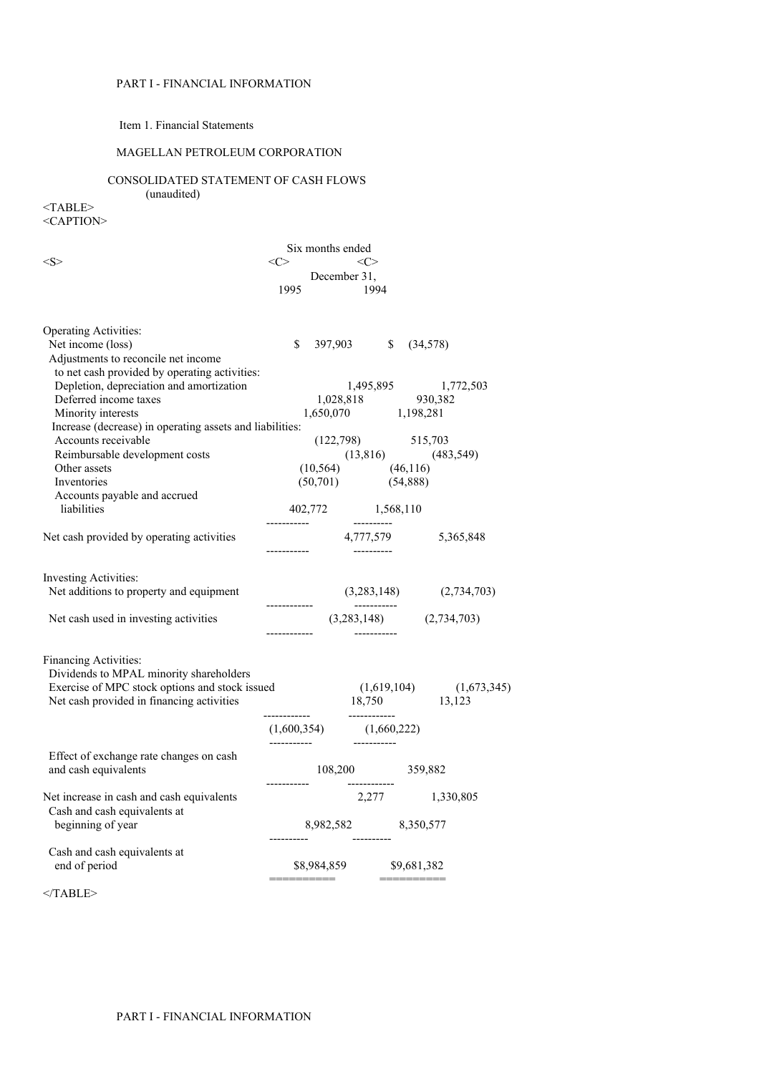## PART I - FINANCIAL INFORMATION

## Item 1. Financial Statements

## MAGELLAN PETROLEUM CORPORATION

## CONSOLIDATED STATEMENT OF CASH FLOWS

(unaudited)

<TABLE> <CAPTION>

|                                                                                                                                                                 |             | Six months ended |                                                                                           |             |                                                                                                        |
|-----------------------------------------------------------------------------------------------------------------------------------------------------------------|-------------|------------------|-------------------------------------------------------------------------------------------|-------------|--------------------------------------------------------------------------------------------------------|
| $<\!\!S\!\!>$                                                                                                                                                   | <<>         |                  | $\langle C \rangle$                                                                       |             |                                                                                                        |
|                                                                                                                                                                 | 1995        | December 31,     | - 1994                                                                                    |             |                                                                                                        |
|                                                                                                                                                                 |             |                  |                                                                                           |             |                                                                                                        |
| <b>Operating Activities:</b>                                                                                                                                    |             |                  |                                                                                           |             |                                                                                                        |
| Net income (loss)                                                                                                                                               | \$          |                  | 397,903 \$                                                                                | (34,578)    |                                                                                                        |
| Adjustments to reconcile net income                                                                                                                             |             |                  |                                                                                           |             |                                                                                                        |
| to net cash provided by operating activities:                                                                                                                   |             |                  |                                                                                           |             |                                                                                                        |
| Depletion, depreciation and amortization<br>Deferred income taxes                                                                                               |             |                  |                                                                                           |             |                                                                                                        |
| Minority interests                                                                                                                                              |             |                  |                                                                                           |             | $\begin{array}{ccc} 1,495,895 & 1,772,503 \\ 1,028,818 & 930,382 \\ 1,650,070 & 1,198,281 \end{array}$ |
| Increase (decrease) in operating assets and liabilities:                                                                                                        |             |                  |                                                                                           |             |                                                                                                        |
| Accounts receivable                                                                                                                                             |             |                  |                                                                                           |             |                                                                                                        |
| Reimbursable development costs                                                                                                                                  |             |                  | $\begin{array}{cc} (122,798) & \qquad 515,703 \\ (13,816) & \qquad (483,549) \end{array}$ |             |                                                                                                        |
| Other assets                                                                                                                                                    |             |                  | $(10,564)$ $(46,116)$                                                                     |             |                                                                                                        |
| Inventories                                                                                                                                                     |             |                  | $(50,701)$ $(54,888)$                                                                     |             |                                                                                                        |
| Accounts payable and accrued                                                                                                                                    |             |                  |                                                                                           |             |                                                                                                        |
| liabilities                                                                                                                                                     | ----------- |                  | 402,772 1,568,110<br>----------                                                           |             |                                                                                                        |
| Net cash provided by operating activities                                                                                                                       | ----------- |                  |                                                                                           |             | 4,777,579 5,365,848                                                                                    |
| <b>Investing Activities:</b><br>Net additions to property and equipment                                                                                         |             |                  |                                                                                           |             | $(3,283,148)$ $(2,734,703)$                                                                            |
| Net cash used in investing activities                                                                                                                           |             |                  | $(3,283,148)$ $(2,734,703)$                                                               |             |                                                                                                        |
| Financing Activities:<br>Dividends to MPAL minority shareholders<br>Exercise of MPC stock options and stock issued<br>Net cash provided in financing activities |             |                  |                                                                                           |             | $(1,619,104)$ $(1,673,345)$<br>18,750 13,123                                                           |
|                                                                                                                                                                 |             |                  | $(1,600,354)$ $(1,660,222)$                                                               |             |                                                                                                        |
| Effect of exchange rate changes on cash<br>and cash equivalents                                                                                                 |             |                  | 108,200 359,882                                                                           |             |                                                                                                        |
| Net increase in cash and cash equivalents<br>Cash and cash equivalents at                                                                                       |             |                  | 2,277 1,330,805                                                                           |             |                                                                                                        |
| beginning of year                                                                                                                                               |             |                  | 8,982,582 8,350,577                                                                       |             |                                                                                                        |
| Cash and cash equivalents at                                                                                                                                    |             |                  |                                                                                           |             |                                                                                                        |
| end of period                                                                                                                                                   |             | \$8,984,859      |                                                                                           | \$9,681,382 |                                                                                                        |

 $<$ /TABLE>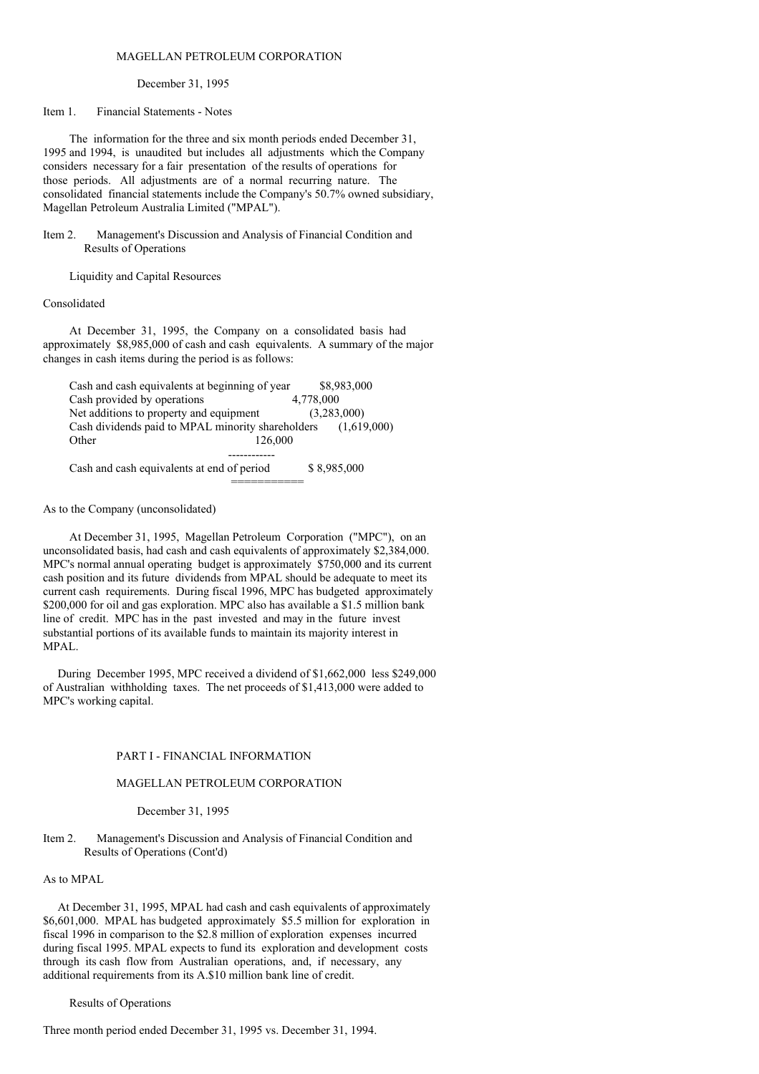### MAGELLAN PETROLEUM CORPORATION

December 31, 1995

Item 1. Financial Statements - Notes

The information for the three and six month periods ended December 31, 1995 and 1994, is unaudited but includes all adjustments which the Company considers necessary for a fair presentation of the results of operations for those periods. All adjustments are of a normal recurring nature. The consolidated financial statements include the Company's 50.7% owned subsidiary, Magellan Petroleum Australia Limited ("MPAL").

Item 2. Management's Discussion and Analysis of Financial Condition and Results of Operations

Liquidity and Capital Resources

#### Consolidated

At December 31, 1995, the Company on a consolidated basis had approximately \$8,985,000 of cash and cash equivalents. A summary of the major changes in cash items during the period is as follows:

Cash and cash equivalents at beginning of year \$8,983,000 Cash provided by operations 4,778,000 Net additions to property and equipment (3,283,000) Cash dividends paid to MPAL minority shareholders (1,619,000) Other 126,000 ------------ Cash and cash equivalents at end of period \$ 8,985,000

===========

As to the Company (unconsolidated)

At December 31, 1995, Magellan Petroleum Corporation ("MPC"), on an unconsolidated basis, had cash and cash equivalents of approximately \$2,384,000. MPC's normal annual operating budget is approximately \$750,000 and its current cash position and its future dividends from MPAL should be adequate to meet its current cash requirements. During fiscal 1996, MPC has budgeted approximately \$200,000 for oil and gas exploration. MPC also has available a \$1.5 million bank line of credit. MPC has in the past invested and may in the future invest substantial portions of its available funds to maintain its majority interest in MPAL.

During December 1995, MPC received a dividend of \$1,662,000 less \$249,000 of Australian withholding taxes. The net proceeds of \$1,413,000 were added to MPC's working capital.

### PART I - FINANCIAL INFORMATION

#### MAGELLAN PETROLEUM CORPORATION

December 31, 1995

### Item 2. Management's Discussion and Analysis of Financial Condition and Results of Operations (Cont'd)

As to MPAL

At December 31, 1995, MPAL had cash and cash equivalents of approximately \$6,601,000. MPAL has budgeted approximately \$5.5 million for exploration in fiscal 1996 in comparison to the \$2.8 million of exploration expenses incurred during fiscal 1995. MPAL expects to fund its exploration and development costs through its cash flow from Australian operations, and, if necessary, any additional requirements from its A.\$10 million bank line of credit.

Results of Operations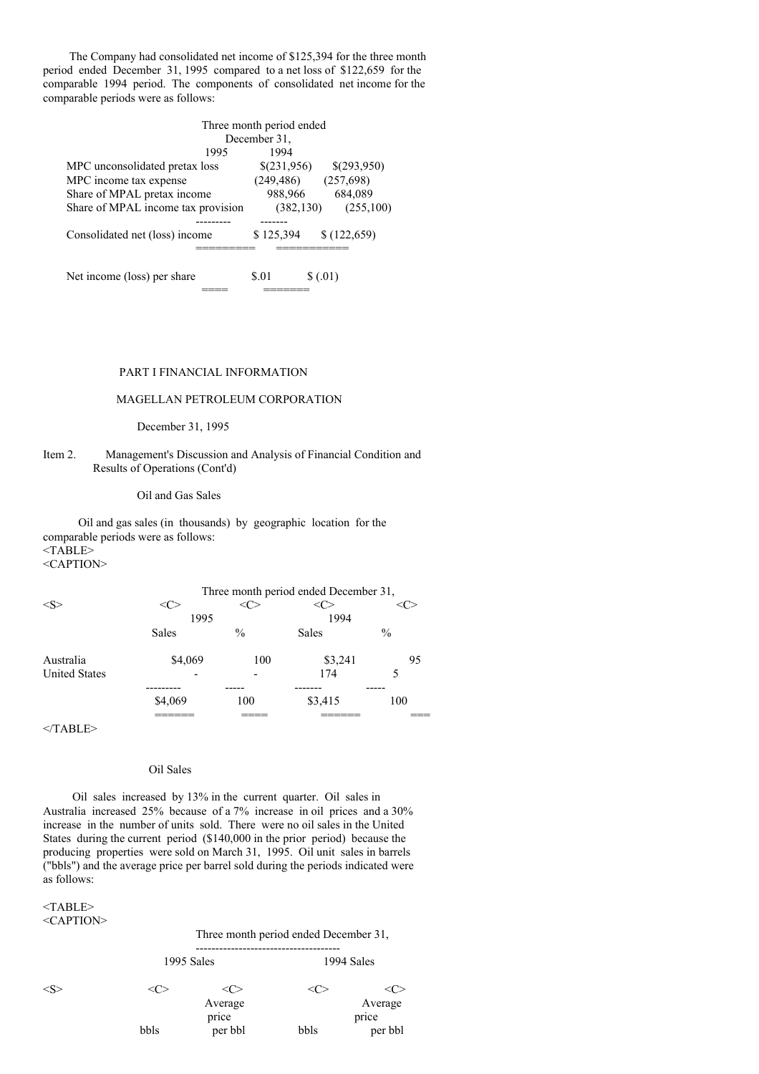The Company had consolidated net income of \$125,394 for the three month period ended December 31, 1995 compared to a net loss of \$122,659 for the comparable 1994 period. The components of consolidated net income for the comparable periods were as follows:

| Three month period ended           |              |             |  |  |  |  |
|------------------------------------|--------------|-------------|--|--|--|--|
|                                    | December 31, |             |  |  |  |  |
| 1995                               | 1994         |             |  |  |  |  |
| MPC unconsolidated pretax loss     | \$(231,956)  | \$(293,950) |  |  |  |  |
| MPC income tax expense             | (249, 486)   | (257,698)   |  |  |  |  |
| Share of MPAL pretax income        | 988,966      | 684,089     |  |  |  |  |
| Share of MPAL income tax provision | (382, 130)   | (255,100)   |  |  |  |  |
|                                    |              |             |  |  |  |  |
| Consolidated net (loss) income     | \$125,394    | \$(122,659) |  |  |  |  |
|                                    |              |             |  |  |  |  |
|                                    |              |             |  |  |  |  |
| Net income (loss) per share        | \$.01        | \$(.01)     |  |  |  |  |
|                                    |              |             |  |  |  |  |

#### PART I FINANCIAL INFORMATION

## MAGELLAN PETROLEUM CORPORATION

## December 31, 1995

Item 2. Management's Discussion and Analysis of Financial Condition and Results of Operations (Cont'd)

## Oil and Gas Sales

Oil and gas sales (in thousands) by geographic location for the comparable periods were as follows: <TABLE> <CAPTION>

|                      |         | Three month period ended December 31, |              |               |
|----------------------|---------|---------------------------------------|--------------|---------------|
| < S                  | <( ∵    |                                       |              |               |
|                      | 1995    |                                       | 1994         |               |
|                      | Sales   | $\frac{0}{0}$                         | <b>Sales</b> | $\frac{0}{0}$ |
| Australia            | \$4,069 | 100                                   | \$3,241      | 95            |
| <b>United States</b> |         |                                       | 174          | 5             |
|                      |         |                                       |              |               |
|                      | \$4,069 | 100                                   | \$3,415      | 100           |
|                      |         |                                       |              |               |

 $<$ /TABLE>

### Oil Sales

Oil sales increased by 13% in the current quarter. Oil sales in Australia increased 25% because of a 7% increase in oil prices and a 30% increase in the number of units sold. There were no oil sales in the United States during the current period (\$140,000 in the prior period) because the producing properties were sold on March 31, 1995. Oil unit sales in barrels ("bbls") and the average price per barrel sold during the periods indicated were as follows:

### $<$ TABLE $>$ <CAPTION>

Three month period ended December 31, ------------------------------------- 1995 Sales 1994 Sales  $\langle S \rangle$   $\langle C \rangle$   $\langle C \rangle$   $\langle C \rangle$   $\langle C \rangle$ Average Average price price bbls per bbl bbls per bbl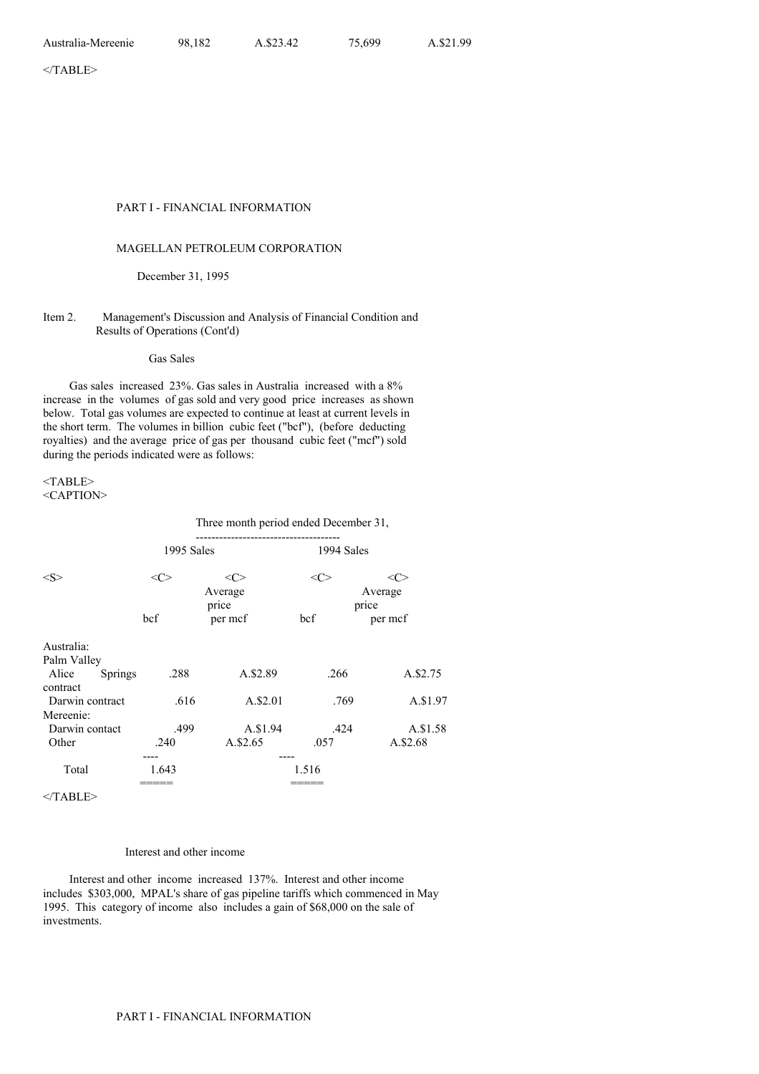#### PART I - FINANCIAL INFORMATION

## MAGELLAN PETROLEUM CORPORATION

December 31, 1995

### Item 2. Management's Discussion and Analysis of Financial Condition and Results of Operations (Cont'd)

Gas Sales

Gas sales increased 23%. Gas sales in Australia increased with a 8% increase in the volumes of gas sold and very good price increases as shown below. Total gas volumes are expected to continue at least at current levels in the short term. The volumes in billion cubic feet ("bcf"), (before deducting royalties) and the average price of gas per thousand cubic feet ("mcf") sold during the periods indicated were as follows:

<TABLE> <CAPTION>

#### Three month period ended December 31,

|                              | 1995 Sales    |                  | 1994 Sales |                  |  |
|------------------------------|---------------|------------------|------------|------------------|--|
| $<\leq>$                     | $<\!\!C\!\!>$ | <c></c>          | $<\infty$  | <c></c>          |  |
|                              |               | Average<br>price |            | Average<br>price |  |
|                              | bcf           | per mcf          | bcf        | per mcf          |  |
| Australia:                   |               |                  |            |                  |  |
| Palm Valley                  |               |                  |            |                  |  |
| Alice<br>Springs<br>contract | .288          | A.\$2.89         | .266       | A.\$2.75         |  |
| Darwin contract              | .616          | A.\$2.01         | .769       | A.\$1.97         |  |
| Mereenie:                    |               |                  |            |                  |  |
| Darwin contact               | .499          | A.\$1.94         | .424       | A.\$1.58         |  |
| Other                        | .240          | A.\$2.65         | .057       | A.\$2.68         |  |
|                              |               | ----             |            |                  |  |
| Total                        | 1.643         |                  | 1.516      |                  |  |
|                              |               |                  |            |                  |  |

</TABLE>

## Interest and other income

Interest and other income increased 137%. Interest and other income includes \$303,000, MPAL's share of gas pipeline tariffs which commenced in May 1995. This category of income also includes a gain of \$68,000 on the sale of investments.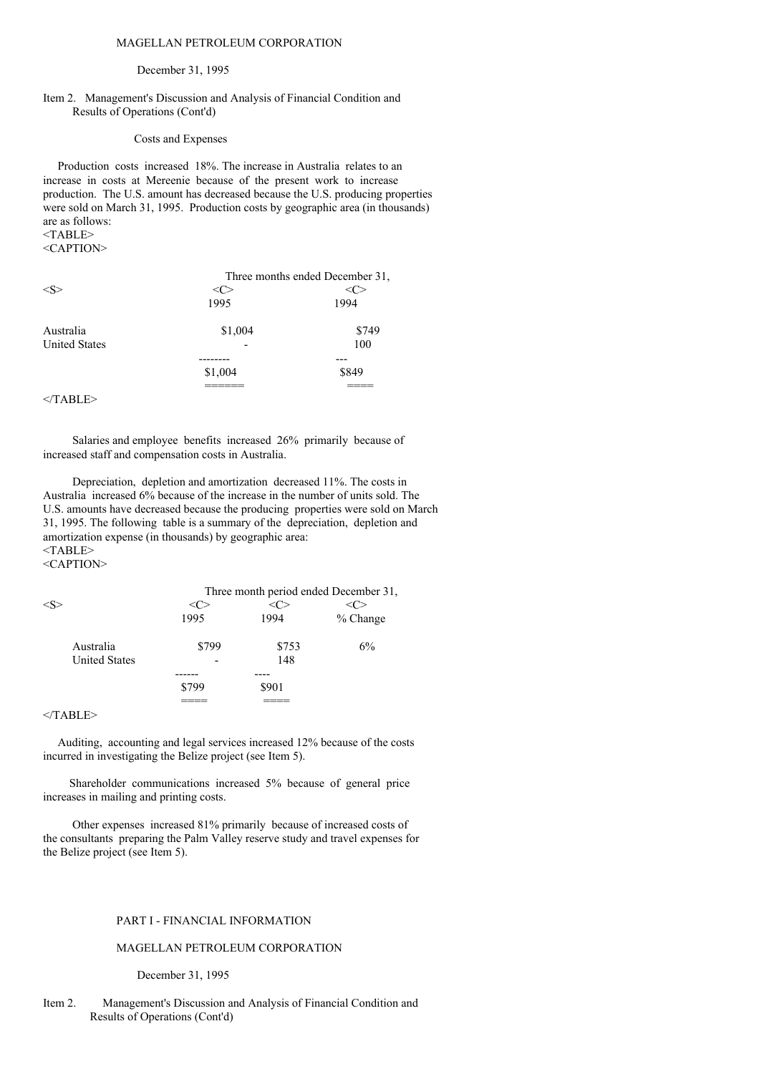### MAGELLAN PETROLEUM CORPORATION

#### December 31, 1995

### Item 2. Management's Discussion and Analysis of Financial Condition and Results of Operations (Cont'd)

### Costs and Expenses

Production costs increased 18%. The increase in Australia relates to an increase in costs at Mereenie because of the present work to increase production. The U.S. amount has decreased because the U.S. producing properties were sold on March 31, 1995. Production costs by geographic area (in thousands) are as follows:  $<$ TABLE $>$ 

<CAPTION>

|                      | Three months ended December 31, |       |  |  |
|----------------------|---------------------------------|-------|--|--|
| < S >                |                                 |       |  |  |
|                      | 1995                            | 1994  |  |  |
| Australia            | \$1,004                         | \$749 |  |  |
| <b>United States</b> |                                 | 100   |  |  |
|                      |                                 |       |  |  |
|                      | \$1,004                         | \$849 |  |  |
|                      |                                 |       |  |  |
|                      |                                 |       |  |  |

 $<$ /TABLE>

Salaries and employee benefits increased 26% primarily because of increased staff and compensation costs in Australia.

Depreciation, depletion and amortization decreased 11%. The costs in Australia increased 6% because of the increase in the number of units sold. The U.S. amounts have decreased because the producing properties were sold on March 31, 1995. The following table is a summary of the depreciation, depletion and amortization expense (in thousands) by geographic area: <TABLE>

<CAPTION>

|                      | Three month period ended December 31, |       |            |  |  |
|----------------------|---------------------------------------|-------|------------|--|--|
|                      |                                       |       |            |  |  |
|                      | 1995                                  | 1994  | $%$ Change |  |  |
| Australia            | \$799                                 | \$753 | $6\%$      |  |  |
| <b>United States</b> |                                       | 148   |            |  |  |
|                      |                                       |       |            |  |  |
|                      | \$799                                 | \$901 |            |  |  |
|                      |                                       |       |            |  |  |

</TABLE>

Auditing, accounting and legal services increased 12% because of the costs incurred in investigating the Belize project (see Item 5).

Shareholder communications increased 5% because of general price increases in mailing and printing costs.

Other expenses increased 81% primarily because of increased costs of the consultants preparing the Palm Valley reserve study and travel expenses for the Belize project (see Item 5).

## PART I - FINANCIAL INFORMATION

### MAGELLAN PETROLEUM CORPORATION

#### December 31, 1995

Item 2. Management's Discussion and Analysis of Financial Condition and Results of Operations (Cont'd)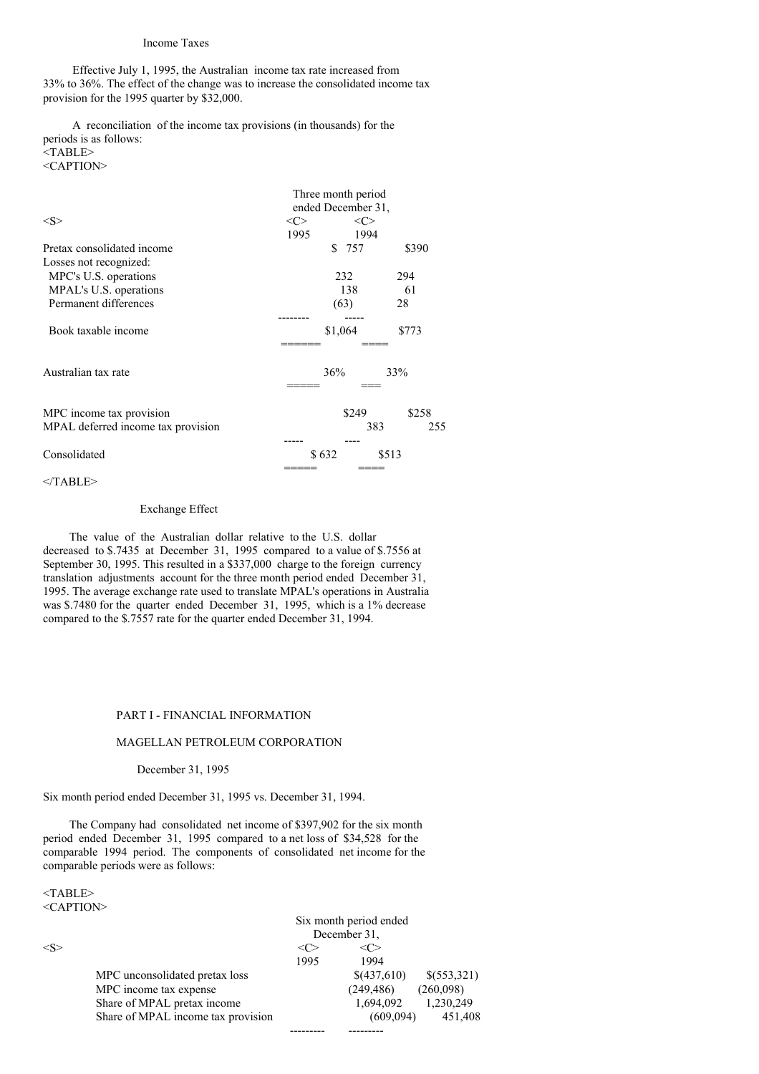### Income Taxes

Effective July 1, 1995, the Australian income tax rate increased from 33% to 36%. The effect of the change was to increase the consolidated income tax provision for the 1995 quarter by \$32,000.

A reconciliation of the income tax provisions (in thousands) for the periods is as follows: <TABLE> <CAPTION>

|                                    | Three month period<br>ended December 31, |         |       |  |  |
|------------------------------------|------------------------------------------|---------|-------|--|--|
| $<\!\!S\!\!>$                      | <<>                                      | <<>     |       |  |  |
|                                    | 1995                                     | 1994    |       |  |  |
| Pretax consolidated income         |                                          | \$ 757  | \$390 |  |  |
| Losses not recognized:             |                                          |         |       |  |  |
| MPC's U.S. operations              |                                          | 232     | 294   |  |  |
| MPAL's U.S. operations             |                                          | 138     | 61    |  |  |
| Permanent differences              |                                          | (63)    | 28    |  |  |
|                                    |                                          |         |       |  |  |
| Book taxable income                |                                          | \$1,064 | \$773 |  |  |
|                                    |                                          |         |       |  |  |
| Australian tax rate                |                                          | 36%     | 33%   |  |  |
|                                    |                                          |         |       |  |  |
| MPC income tax provision           |                                          | \$249   | \$258 |  |  |
| MPAL deferred income tax provision |                                          | 383     | 255   |  |  |
|                                    |                                          |         |       |  |  |
| Consolidated                       | \$632                                    |         | \$513 |  |  |
|                                    |                                          |         |       |  |  |

 $<$ /TABLE>

### Exchange Effect

The value of the Australian dollar relative to the U.S. dollar decreased to \$.7435 at December 31, 1995 compared to a value of \$.7556 at September 30, 1995. This resulted in a \$337,000 charge to the foreign currency translation adjustments account for the three month period ended December 31, 1995. The average exchange rate used to translate MPAL's operations in Australia was \$.7480 for the quarter ended December 31, 1995, which is a 1% decrease compared to the \$.7557 rate for the quarter ended December 31, 1994.

### PART I - FINANCIAL INFORMATION

## MAGELLAN PETROLEUM CORPORATION

#### December 31, 1995

Six month period ended December 31, 1995 vs. December 31, 1994.

The Company had consolidated net income of \$397,902 for the six month period ended December 31, 1995 compared to a net loss of \$34,528 for the comparable 1994 period. The components of consolidated net income for the comparable periods were as follows:

<TABLE> <CAPTION>

|                     | Share of MPAL income tax provision |      | (609,094)              | 451,408     |
|---------------------|------------------------------------|------|------------------------|-------------|
|                     | Share of MPAL pretax income        |      | 1,694,092              | 1,230,249   |
|                     | MPC income tax expense             |      | (249, 486)             | (260,098)   |
|                     | MPC unconsolidated pretax loss     |      | \$(437,610)            | \$(553,321) |
|                     |                                    | 1995 | 1994                   |             |
| $\langle S \rangle$ |                                    | <( ≫ | <( '>                  |             |
|                     |                                    |      | December 31.           |             |
|                     |                                    |      | Six month period ended |             |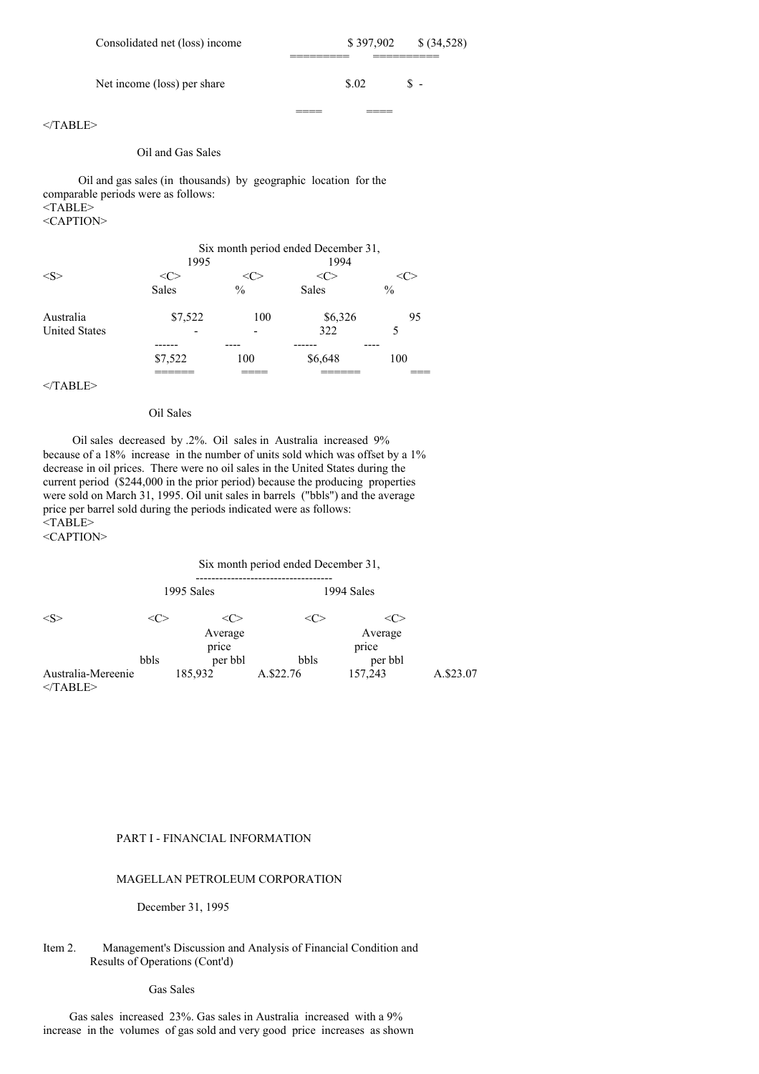| Consolidated net (loss) income | \$397.902 | \$ (34,528) |
|--------------------------------|-----------|-------------|
| Net income (loss) per share    | \$.02     | \$ -        |
|                                |           |             |

</TABLE>

#### Oil and Gas Sales

Oil and gas sales (in thousands) by geographic location for the comparable periods were as follows: <TABLE> <CAPTION>

|                      | 1995         | Six month period ended December 31,<br>1994 |              |               |
|----------------------|--------------|---------------------------------------------|--------------|---------------|
| < S                  |              |                                             |              |               |
|                      | <b>Sales</b> | $\frac{0}{0}$                               | <b>Sales</b> | $\frac{0}{0}$ |
| Australia            | \$7,522      | 100                                         | \$6,326      | 95            |
| <b>United States</b> |              |                                             | 322          |               |
|                      | \$7,522      | 100                                         | \$6,648      | 100           |
|                      |              |                                             |              |               |

 $<$ /TABLE>

## Oil Sales

Oil sales decreased by .2%. Oil sales in Australia increased 9% because of a 18% increase in the number of units sold which was offset by a 1% decrease in oil prices. There were no oil sales in the United States during the current period (\$244,000 in the prior period) because the producing properties were sold on March 31, 1995. Oil unit sales in barrels ("bbls") and the average price per barrel sold during the periods indicated were as follows: <TABLE>

<CAPTION>

## Six month period ended December 31, ----------------------------------- 1995 Sales 1994 Sales  $\langle S \rangle$   $\langle C \rangle$   $\langle C \rangle$   $\langle C \rangle$   $\langle C \rangle$ Average Average Average<br>price price price<br>per bbl bbls per bbl bbls Australia-Mereenie 185,932 A.\$22.76 157,243 A.\$23.07 </TABLE>

## PART I - FINANCIAL INFORMATION

## MAGELLAN PETROLEUM CORPORATION

December 31, 1995

## Item 2. Management's Discussion and Analysis of Financial Condition and Results of Operations (Cont'd)

Gas Sales

Gas sales increased 23%. Gas sales in Australia increased with a 9% increase in the volumes of gas sold and very good price increases as shown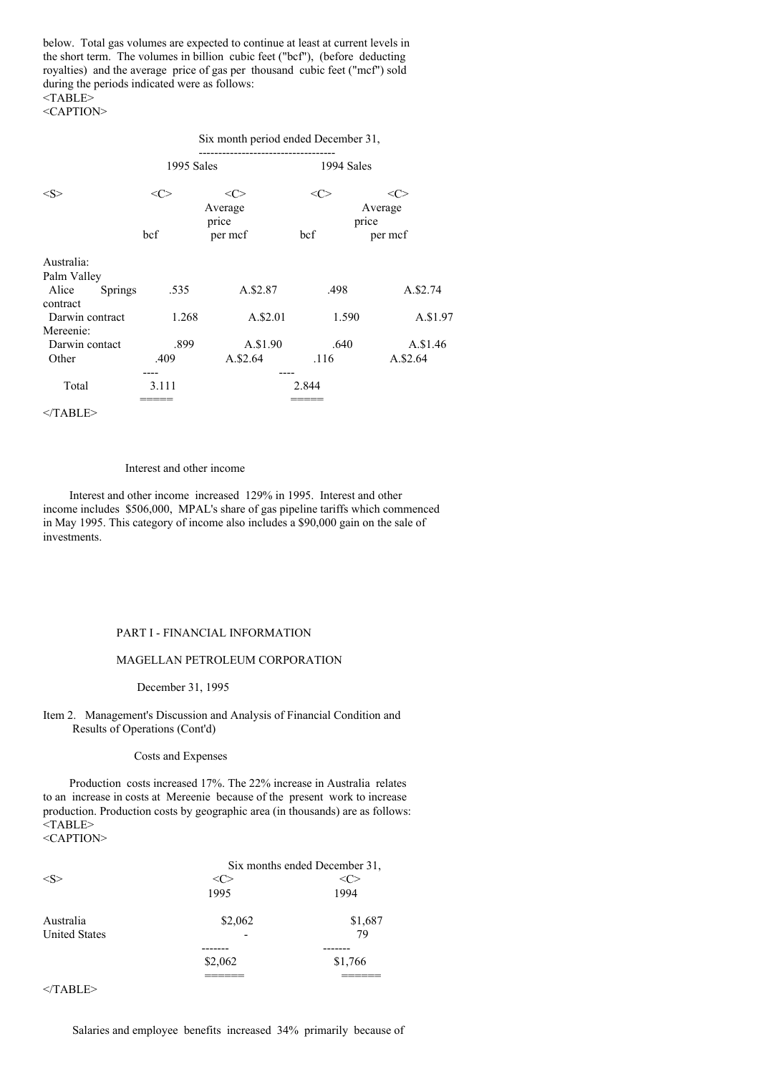below. Total gas volumes are expected to continue at least at current levels in the short term. The volumes in billion cubic feet ("bcf"), (before deducting royalties) and the average price of gas per thousand cubic feet ("mcf") sold during the periods indicated were as follows:  $<$ TABLE $>$ 

<CAPTION>

|                             | Six month period ended December 31, |                  |                  |          |
|-----------------------------|-------------------------------------|------------------|------------------|----------|
|                             | 1995 Sales                          |                  | 1994 Sales       |          |
| <s></s>                     | <c></c>                             | <c></c>          | <c></c>          | <( `>    |
|                             | Average                             |                  | Average<br>price |          |
|                             | bcf                                 | price<br>per mcf | bcf              | per mcf  |
| Australia:                  |                                     |                  |                  |          |
| Palm Valley                 |                                     |                  |                  |          |
| Alice<br><b>Springs</b>     | .535                                | A.\$2.87         | .498             | A.\$2.74 |
| contract<br>Darwin contract | 1.268                               | A.\$2.01         | 1.590            | A.\$1.97 |
| Mereenie:                   |                                     |                  |                  |          |
| Darwin contact              | .899                                | A.\$1.90         | .640             | A.\$1.46 |
| Other                       | .409                                | A.\$2.64         | .116             | A.\$2.64 |
|                             |                                     |                  |                  |          |
| Total                       | 3.111                               |                  | 2.844            |          |
|                             |                                     |                  |                  |          |

 $<$ /TABLE>

### Interest and other income

Interest and other income increased 129% in 1995. Interest and other income includes \$506,000, MPAL's share of gas pipeline tariffs which commenced in May 1995. This category of income also includes a \$90,000 gain on the sale of investments.

### PART I - FINANCIAL INFORMATION

### MAGELLAN PETROLEUM CORPORATION

December 31, 1995

Item 2. Management's Discussion and Analysis of Financial Condition and Results of Operations (Cont'd)

### Costs and Expenses

Production costs increased 17%. The 22% increase in Australia relates to an increase in costs at Mereenie because of the present work to increase production. Production costs by geographic area (in thousands) are as follows: <TABLE> <CAPTION>

|                      | Six months ended December 31, |         |  |
|----------------------|-------------------------------|---------|--|
|                      |                               |         |  |
|                      | 1995                          | 1994    |  |
| Australia            | \$2,062                       | \$1,687 |  |
| <b>United States</b> |                               | 79      |  |
|                      |                               |         |  |
|                      | \$2,062                       | \$1,766 |  |
|                      |                               |         |  |

 $<$ /TABLE>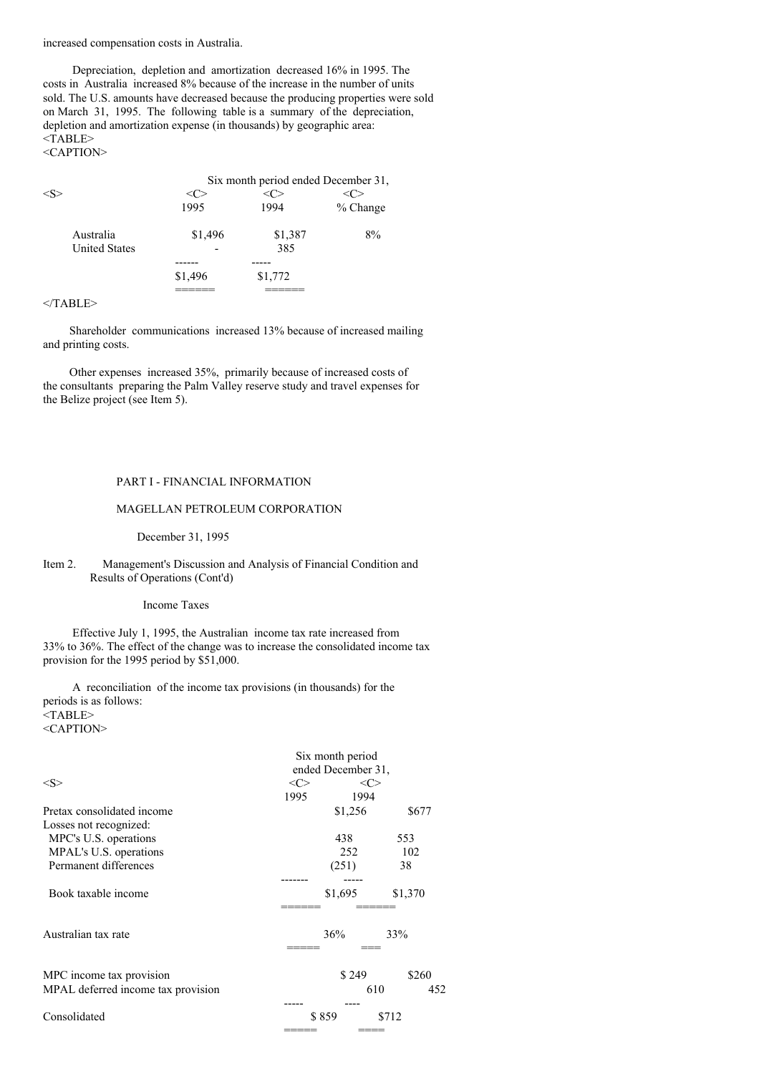increased compensation costs in Australia.

Depreciation, depletion and amortization decreased 16% in 1995. The costs in Australia increased 8% because of the increase in the number of units sold. The U.S. amounts have decreased because the producing properties were sold on March 31, 1995. The following table is a summary of the depreciation, depletion and amortization expense (in thousands) by geographic area: <TABLE>

<CAPTION>

|                      | Six month period ended December 31, |         |          |  |
|----------------------|-------------------------------------|---------|----------|--|
|                      |                                     |         |          |  |
|                      | 1995                                | 1994    | % Change |  |
| Australia            | \$1,496                             | \$1,387 | 8%       |  |
| <b>United States</b> |                                     | 385     |          |  |
|                      |                                     |         |          |  |
|                      | \$1,496                             | \$1,772 |          |  |
|                      |                                     |         |          |  |

#### </TABLE>

Shareholder communications increased 13% because of increased mailing and printing costs.

Other expenses increased 35%, primarily because of increased costs of the consultants preparing the Palm Valley reserve study and travel expenses for the Belize project (see Item 5).

## PART I - FINANCIAL INFORMATION

### MAGELLAN PETROLEUM CORPORATION

December 31, 1995

## Item 2. Management's Discussion and Analysis of Financial Condition and Results of Operations (Cont'd)

#### Income Taxes

Effective July 1, 1995, the Australian income tax rate increased from 33% to 36%. The effect of the change was to increase the consolidated income tax provision for the 1995 period by \$51,000.

A reconciliation of the income tax provisions (in thousands) for the periods is as follows: <TABLE> <CAPTION>

|                                    | Six month period<br>ended December 31, |               |            |
|------------------------------------|----------------------------------------|---------------|------------|
|                                    |                                        |               |            |
| <s></s>                            | <<>                                    | $<\!\!C\!\!>$ |            |
|                                    | 1995                                   | 1994          |            |
| Pretax consolidated income         |                                        | \$1,256       | \$677      |
| Losses not recognized:             |                                        |               |            |
| MPC's U.S. operations              |                                        | 438           | 553        |
| MPAL's U.S. operations             |                                        | 252           | 102        |
| Permanent differences              |                                        | (251)         | 38         |
|                                    |                                        |               |            |
| Book taxable income                |                                        | \$1,695       | \$1,370    |
|                                    |                                        |               |            |
| Australian tax rate                |                                        | 36%           | 33%        |
|                                    |                                        |               |            |
| MPC income tax provision           |                                        | \$249         | \$260      |
| MPAL deferred income tax provision |                                        |               | 610<br>452 |
|                                    |                                        |               |            |
| Consolidated                       |                                        | \$859         | \$712      |
|                                    |                                        |               |            |
|                                    |                                        |               |            |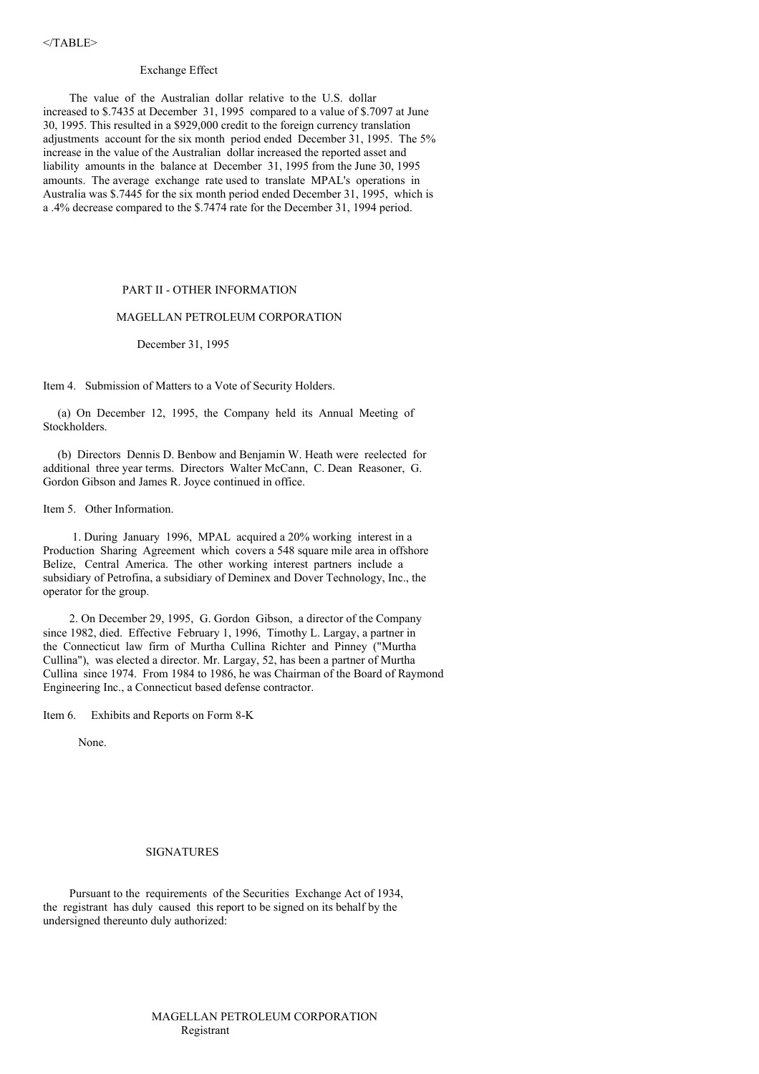#### Exchange Effect

The value of the Australian dollar relative to the U.S. dollar increased to \$.7435 at December 31, 1995 compared to a value of \$.7097 at June 30, 1995. This resulted in a \$929,000 credit to the foreign currency translation adjustments account for the six month period ended December 31, 1995. The 5% increase in the value of the Australian dollar increased the reported asset and liability amounts in the balance at December 31, 1995 from the June 30, 1995 amounts. The average exchange rate used to translate MPAL's operations in Australia was \$.7445 for the six month period ended December 31, 1995, which is a .4% decrease compared to the \$.7474 rate for the December 31, 1994 period.

### PART II - OTHER INFORMATION

### MAGELLAN PETROLEUM CORPORATION

December 31, 1995

Item 4. Submission of Matters to a Vote of Security Holders.

(a) On December 12, 1995, the Company held its Annual Meeting of Stockholders.

(b) Directors Dennis D. Benbow and Benjamin W. Heath were reelected for additional three year terms. Directors Walter McCann, C. Dean Reasoner, G. Gordon Gibson and James R. Joyce continued in office.

Item 5. Other Information.

1. During January 1996, MPAL acquired a 20% working interest in a Production Sharing Agreement which covers a 548 square mile area in offshore Belize, Central America. The other working interest partners include a subsidiary of Petrofina, a subsidiary of Deminex and Dover Technology, Inc., the operator for the group.

2. On December 29, 1995, G. Gordon Gibson, a director of the Company since 1982, died. Effective February 1, 1996, Timothy L. Largay, a partner in the Connecticut law firm of Murtha Cullina Richter and Pinney ("Murtha Cullina"), was elected a director. Mr. Largay, 52, has been a partner of Murtha Cullina since 1974. From 1984 to 1986, he was Chairman of the Board of Raymond Engineering Inc., a Connecticut based defense contractor.

Item 6. Exhibits and Reports on Form 8-K

None.

#### SIGNATURES

Pursuant to the requirements of the Securities Exchange Act of 1934, the registrant has duly caused this report to be signed on its behalf by the undersigned thereunto duly authorized: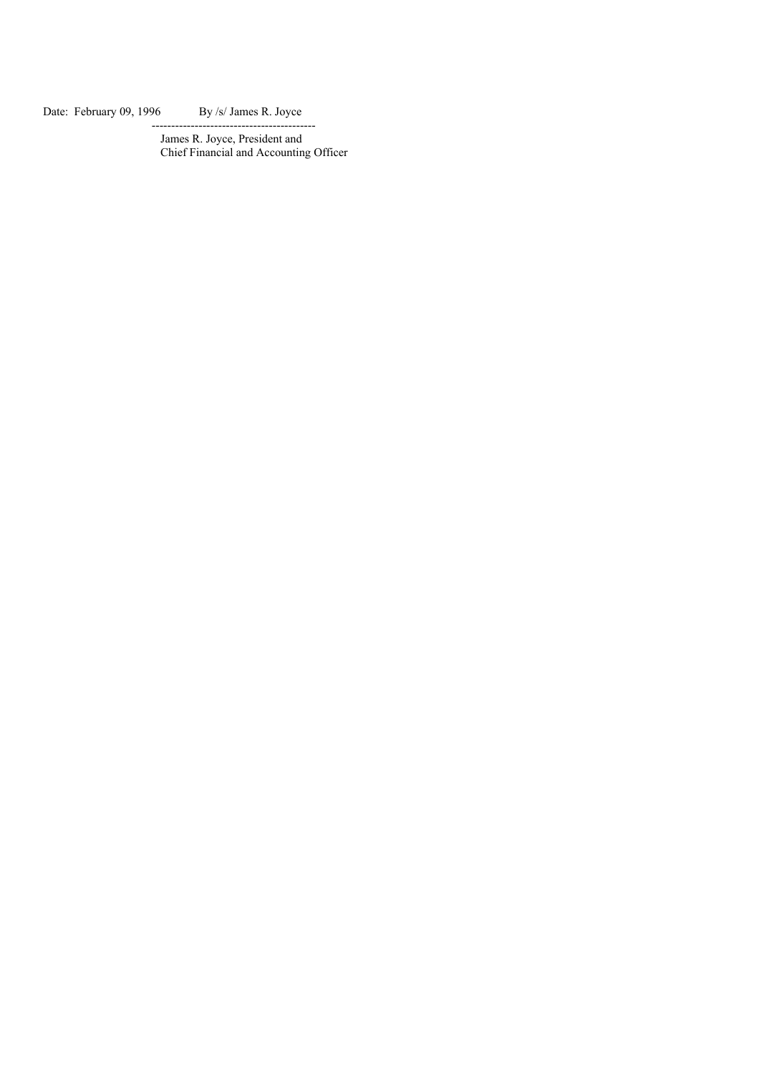Date: February 09, 1996 By /s/ James R. Joyce

James R. Joyce, President and Chief Financial and Accounting Officer

------------------------------------------